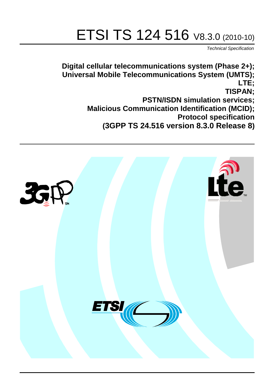# ETSI TS 124 516 V8.3.0 (2010-10)

*Technical Specification*

**Digital cellular telecommunications system (Phase 2+); Universal Mobile Telecommunications System (UMTS); LTE; TISPAN; PSTN/ISDN simulation services; Malicious Communication Identification (MCID); Protocol specification (3GPP TS 24.516 version 8.3.0 Release 8)**

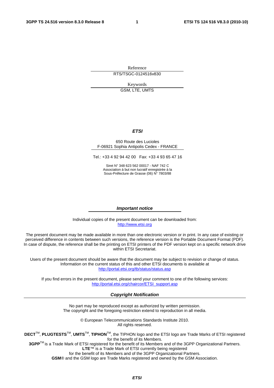Reference RTS/TSGC-0124516v830

Keywords

GSM, LTE, UMTS

#### *ETSI*

#### 650 Route des Lucioles F-06921 Sophia Antipolis Cedex - FRANCE

Tel.: +33 4 92 94 42 00 Fax: +33 4 93 65 47 16

Siret N° 348 623 562 00017 - NAF 742 C Association à but non lucratif enregistrée à la Sous-Préfecture de Grasse (06) N° 7803/88

#### *Important notice*

Individual copies of the present document can be downloaded from: [http://www.etsi.org](http://www.etsi.org/)

The present document may be made available in more than one electronic version or in print. In any case of existing or perceived difference in contents between such versions, the reference version is the Portable Document Format (PDF). In case of dispute, the reference shall be the printing on ETSI printers of the PDF version kept on a specific network drive within ETSI Secretariat.

Users of the present document should be aware that the document may be subject to revision or change of status. Information on the current status of this and other ETSI documents is available at <http://portal.etsi.org/tb/status/status.asp>

If you find errors in the present document, please send your comment to one of the following services: [http://portal.etsi.org/chaircor/ETSI\\_support.asp](http://portal.etsi.org/chaircor/ETSI_support.asp)

#### *Copyright Notification*

No part may be reproduced except as authorized by written permission. The copyright and the foregoing restriction extend to reproduction in all media.

> © European Telecommunications Standards Institute 2010. All rights reserved.

**DECT**TM, **PLUGTESTS**TM, **UMTS**TM, **TIPHON**TM, the TIPHON logo and the ETSI logo are Trade Marks of ETSI registered for the benefit of its Members.

**3GPP**TM is a Trade Mark of ETSI registered for the benefit of its Members and of the 3GPP Organizational Partners. **LTE**™ is a Trade Mark of ETSI currently being registered

for the benefit of its Members and of the 3GPP Organizational Partners.

**GSM**® and the GSM logo are Trade Marks registered and owned by the GSM Association.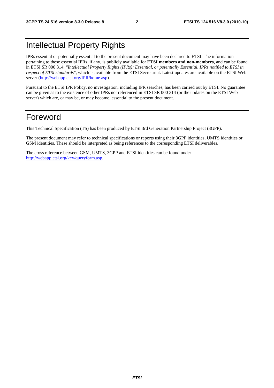# Intellectual Property Rights

IPRs essential or potentially essential to the present document may have been declared to ETSI. The information pertaining to these essential IPRs, if any, is publicly available for **ETSI members and non-members**, and can be found in ETSI SR 000 314: *"Intellectual Property Rights (IPRs); Essential, or potentially Essential, IPRs notified to ETSI in respect of ETSI standards"*, which is available from the ETSI Secretariat. Latest updates are available on the ETSI Web server [\(http://webapp.etsi.org/IPR/home.asp\)](http://webapp.etsi.org/IPR/home.asp).

Pursuant to the ETSI IPR Policy, no investigation, including IPR searches, has been carried out by ETSI. No guarantee can be given as to the existence of other IPRs not referenced in ETSI SR 000 314 (or the updates on the ETSI Web server) which are, or may be, or may become, essential to the present document.

# Foreword

This Technical Specification (TS) has been produced by ETSI 3rd Generation Partnership Project (3GPP).

The present document may refer to technical specifications or reports using their 3GPP identities, UMTS identities or GSM identities. These should be interpreted as being references to the corresponding ETSI deliverables.

The cross reference between GSM, UMTS, 3GPP and ETSI identities can be found under [http://webapp.etsi.org/key/queryform.asp.](http://webapp.etsi.org/key/queryform.asp)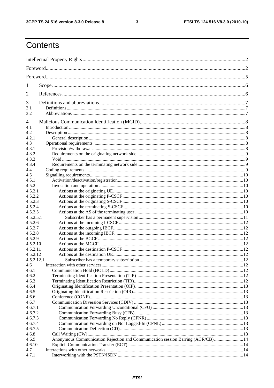$\mathbf{3}$ 

# Contents

| 1              |                                                                                 |  |  |  |  |  |  |  |
|----------------|---------------------------------------------------------------------------------|--|--|--|--|--|--|--|
| 2              |                                                                                 |  |  |  |  |  |  |  |
| 3              |                                                                                 |  |  |  |  |  |  |  |
| 3.1            |                                                                                 |  |  |  |  |  |  |  |
| 3.2            |                                                                                 |  |  |  |  |  |  |  |
| $\overline{4}$ |                                                                                 |  |  |  |  |  |  |  |
| 4.1            |                                                                                 |  |  |  |  |  |  |  |
| 4.2            |                                                                                 |  |  |  |  |  |  |  |
| 4.2.1          |                                                                                 |  |  |  |  |  |  |  |
| 4.3            |                                                                                 |  |  |  |  |  |  |  |
| 4.3.1          |                                                                                 |  |  |  |  |  |  |  |
| 4.3.2          |                                                                                 |  |  |  |  |  |  |  |
| 4.3.3          |                                                                                 |  |  |  |  |  |  |  |
| 4.3.4          |                                                                                 |  |  |  |  |  |  |  |
| 4.4            |                                                                                 |  |  |  |  |  |  |  |
| 4.5            |                                                                                 |  |  |  |  |  |  |  |
| 4.5.1          |                                                                                 |  |  |  |  |  |  |  |
| 4.5.2          |                                                                                 |  |  |  |  |  |  |  |
| 4.5.2.1        |                                                                                 |  |  |  |  |  |  |  |
| 4.5.2.2        |                                                                                 |  |  |  |  |  |  |  |
| 4.5.2.3        |                                                                                 |  |  |  |  |  |  |  |
| 4.5.2.4        |                                                                                 |  |  |  |  |  |  |  |
| 4.5.2.5        |                                                                                 |  |  |  |  |  |  |  |
| 4.5.2.5.1      |                                                                                 |  |  |  |  |  |  |  |
| 4.5.2.6        |                                                                                 |  |  |  |  |  |  |  |
| 4.5.2.7        |                                                                                 |  |  |  |  |  |  |  |
| 4.5.2.8        |                                                                                 |  |  |  |  |  |  |  |
| 4.5.2.9        |                                                                                 |  |  |  |  |  |  |  |
| 4.5.2.10       |                                                                                 |  |  |  |  |  |  |  |
| 4.5.2.11       |                                                                                 |  |  |  |  |  |  |  |
| 4.5.2.12       |                                                                                 |  |  |  |  |  |  |  |
| 4.5.2.12.1     |                                                                                 |  |  |  |  |  |  |  |
| 4.6            |                                                                                 |  |  |  |  |  |  |  |
| 4.6.1          |                                                                                 |  |  |  |  |  |  |  |
| 4.6.2          |                                                                                 |  |  |  |  |  |  |  |
| 4.6.3          |                                                                                 |  |  |  |  |  |  |  |
| 4.6.4          |                                                                                 |  |  |  |  |  |  |  |
| 4.6.5          |                                                                                 |  |  |  |  |  |  |  |
| 4.6.6          |                                                                                 |  |  |  |  |  |  |  |
| 4.6.7          |                                                                                 |  |  |  |  |  |  |  |
| 4.6.7.1        |                                                                                 |  |  |  |  |  |  |  |
| 4.6.7.2        |                                                                                 |  |  |  |  |  |  |  |
| 4.6.7.3        |                                                                                 |  |  |  |  |  |  |  |
| 4.6.7.4        |                                                                                 |  |  |  |  |  |  |  |
| 4.6.7.5        |                                                                                 |  |  |  |  |  |  |  |
| 4.6.8          |                                                                                 |  |  |  |  |  |  |  |
| 4.6.9          | Anonymous Communication Rejection and Communication session Barring (ACR/CB) 14 |  |  |  |  |  |  |  |
| 4.6.10         |                                                                                 |  |  |  |  |  |  |  |
| 4.7            |                                                                                 |  |  |  |  |  |  |  |
| 4.7.1          |                                                                                 |  |  |  |  |  |  |  |
|                |                                                                                 |  |  |  |  |  |  |  |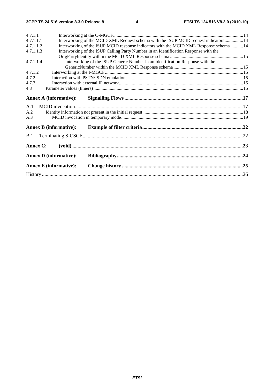| 4.7.1.1   |                                                                                       |  |  |  |  |  |
|-----------|---------------------------------------------------------------------------------------|--|--|--|--|--|
| 4.7.1.1.1 | Interworking of the MCID XML Request schema with the ISUP MCID request indicators 14  |  |  |  |  |  |
| 4.7.1.1.2 | Interworking of the ISUP MCID response indicators with the MCID XML Response schema14 |  |  |  |  |  |
| 4.7.1.1.3 | Interworking of the ISUP Calling Party Number in an Identification Response with the  |  |  |  |  |  |
|           |                                                                                       |  |  |  |  |  |
| 4.7.1.1.4 | Interworking of the ISUP Generic Number in an Identification Response with the        |  |  |  |  |  |
|           |                                                                                       |  |  |  |  |  |
| 4.7.1.2   |                                                                                       |  |  |  |  |  |
| 4.7.2     |                                                                                       |  |  |  |  |  |
| 4.7.3     |                                                                                       |  |  |  |  |  |
| 4.8       |                                                                                       |  |  |  |  |  |
|           | <b>Annex A (informative):</b>                                                         |  |  |  |  |  |
|           |                                                                                       |  |  |  |  |  |
| A.1       |                                                                                       |  |  |  |  |  |
| A.2       |                                                                                       |  |  |  |  |  |
| A.3       |                                                                                       |  |  |  |  |  |
|           | <b>Annex B</b> (informative):                                                         |  |  |  |  |  |
| B.1       |                                                                                       |  |  |  |  |  |
| Annex C:  |                                                                                       |  |  |  |  |  |
|           | <b>Annex D</b> (informative):                                                         |  |  |  |  |  |
|           |                                                                                       |  |  |  |  |  |
|           | <b>Annex E</b> (informative):                                                         |  |  |  |  |  |
|           |                                                                                       |  |  |  |  |  |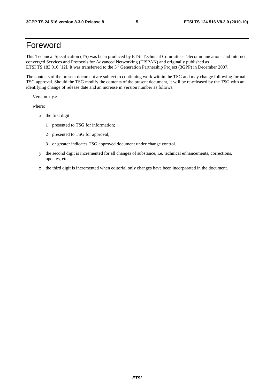# Foreword

This Technical Specification (TS) was been produced by ETSI Technical Committee Telecommunications and Internet converged Services and Protocols for Advanced Networking (TISPAN) and originally published as ETSI TS 183 016 [12]. It was transferred to the 3<sup>rd</sup> Generation Partnership Project (3GPP) in December 2007.

The contents of the present document are subject to continuing work within the TSG and may change following formal TSG approval. Should the TSG modify the contents of the present document, it will be re-released by the TSG with an identifying change of release date and an increase in version number as follows:

Version x.y.z

where:

- x the first digit:
	- 1 presented to TSG for information;
	- 2 presented to TSG for approval;
	- 3 or greater indicates TSG approved document under change control.
- y the second digit is incremented for all changes of substance, i.e. technical enhancements, corrections, updates, etc.
- z the third digit is incremented when editorial only changes have been incorporated in the document.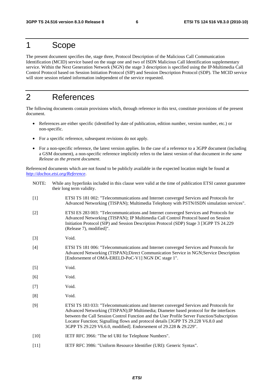# 1 Scope

The present document specifies the, stage three, Protocol Description of the Malicious Call Communication Identification (MCID) service based on the stage one and two of ISDN Malicious Call Identification supplementary service. Within the Next Generation Network (NGN) the stage 3 description is specified using the IP Multimedia Call Control Protocol based on Session Initiation Protocol (SIP) and Session Description Protocol (SDP). The MCID service will store session related information independent of the service requested.

# 2 References

The following documents contain provisions which, through reference in this text, constitute provisions of the present document.

- References are either specific (identified by date of publication, edition number, version number, etc.) or non-specific.
- For a specific reference, subsequent revisions do not apply.
- For a non-specific reference, the latest version applies. In the case of a reference to a 3GPP document (including a GSM document), a non-specific reference implicitly refers to the latest version of that document *in the same Release as the present document*.

Referenced documents which are not found to be publicly available in the expected location might be found at *http://docbox.etsi.org/Reference*.

NOTE: While any hyperlinks included in this clause were valid at the time of publication ETSI cannot guarantee their long term validity. [1] ETSI TS 181 002: "Telecommunications and Internet converged Services and Protocols for Advanced Networking (TISPAN); Multimedia Telephony with PSTN/ISDN simulation services". [2] ETSI ES 283 003: "Telecommunications and Internet converged Services and Protocols for Advanced Networking (TISPAN); IP Multimedia Call Control Protocol based on Session Initiation Protocol (SIP) and Session Description Protocol (SDP) Stage 3 [3GPP TS 24.229 (Release 7), modified]". [3] Void. [4] ETSI TS 181 006: "Telecommunications and Internet converged Services and Protocols for Advanced Networking (TISPAN);Direct Communication Service in NGN;Service Description [Endorsement of OMA-ERELD-PoC-V1] NGN DC stage 1". [5] Void. [6] Void. [7] Void. [8] Void. [9] ETSI TS 183 033: "Telecommunications and Internet converged Services and Protocols for Advanced Networking (TISPAN);IP Multimedia; Diameter based protocol for the interfaces between the Call Session Control Function and the User Profile Server Function/Subscription Locator Function; Signalling flows and protocol details [3GPP TS 29.228 V6.8.0 and 3GPP TS 29.229 V6.6.0, modified]. Endorsement of 29.228 & 29.229". [10] IETF RFC 3966: "The tel URI for Telephone Numbers". [11] IETF RFC 3986: "Uniform Resource Identifier (URI): Generic Syntax".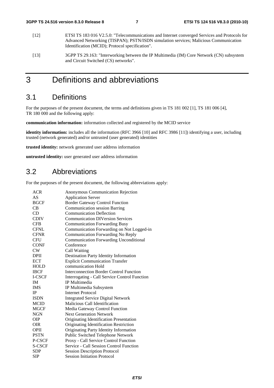- [12] ETSI TS 183 016 V2.5.0: "Telecommunications and Internet converged Services and Protocols for Advanced Networking (TISPAN); PSTN/ISDN simulation services; Malicious Communication Identification (MCID); Protocol specification".
- [13] 3GPP TS 29.163: "Interworking between the IP Multimedia (IM) Core Network (CN) subsystem and Circuit Switched (CS) networks".

# 3 Definitions and abbreviations

# 3.1 Definitions

For the purposes of the present document, the terms and definitions given in TS 181 002 [1], TS 181 006 [4], TR 180 000 and the following apply:

**communication information:** information collected and registered by the MCID service

**identity information:** includes all the information (RFC 3966 [10] and RFC 3986 [11]) identifying a user, including trusted (network generated) and/or untrusted (user generated) identities

**trusted identity:** network generated user address information

**untrusted identity:** user generated user address information

# 3.2 Abbreviations

For the purposes of the present document, the following abbreviations apply:

| <b>ACR</b>  | <b>Anonymous Communication Rejection</b>      |
|-------------|-----------------------------------------------|
| AS          | <b>Application Server</b>                     |
| <b>BGCF</b> | <b>Border Gateway Control Function</b>        |
| CB          | <b>Communication session Barring</b>          |
| CD          | <b>Communication Deflection</b>               |
| <b>CDIV</b> | <b>Communication DIVersion Services</b>       |
| <b>CFB</b>  | <b>Communication Forwarding Busy</b>          |
| <b>CFNL</b> | Communication Forwarding on Not Logged-in     |
| <b>CFNR</b> | Communication Forwarding No Reply             |
| <b>CFU</b>  | <b>Communication Forwarding Unconditional</b> |
| <b>CONF</b> | Conference                                    |
| CW          | Call Waiting                                  |
| <b>DPII</b> | <b>Destination Party Identity Information</b> |
| <b>ECT</b>  | <b>Explicit Communication Transfer</b>        |
| <b>HOLD</b> | communication Hold                            |
| <b>IBCF</b> | Interconnection Border Control Function       |
| I-CSCF      | Interrogating - Call Service Control Function |
| <b>IM</b>   | IP Multimedia                                 |
| <b>IMS</b>  | IP Multimedia Subsystem                       |
| <b>IP</b>   | Internet Protocol                             |
| <b>ISDN</b> | <b>Integrated Service Digital Network</b>     |
| <b>MCID</b> | Malicious Call Identification                 |
| <b>MGCF</b> | Media Gateway Control Function                |
| <b>NGN</b>  | <b>Next Generation Network</b>                |
| <b>OIP</b>  | Originating Identification Presentation       |
| <b>OIR</b>  | Originating Identification Restriction        |
| <b>OPII</b> | Originating Party Identity Information        |
| <b>PSTN</b> | Public Switched Telephone Network             |
| P-CSCF      | Proxy - Call Service Control Function         |
| S-CSCF      | Service - Call Session Control Function       |
| <b>SDP</b>  | <b>Session Description Protocol</b>           |
| <b>SIP</b>  | <b>Session Initiation Protocol</b>            |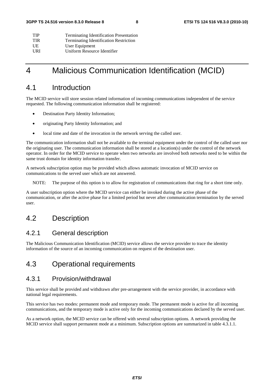| <b>TIP</b> | <b>Terminating Identification Presentation</b> |
|------------|------------------------------------------------|
| <b>TIR</b> | <b>Terminating Identification Restriction</b>  |
| UE         | User Equipment                                 |
| URI        | Uniform Resource Identifier                    |

# 4 Malicious Communication Identification (MCID)

# 4.1 Introduction

The MCID service will store session related information of incoming communications independent of the service requested. The following communication information shall be registered:

- Destination Party Identity Information;
- originating Party Identity Information; and
- local time and date of the invocation in the network serving the called user.

The communication information shall not be available to the terminal equipment under the control of the called user nor the originating user. The communication information shall be stored at a location(s) under the control of the network operator. In order for the MCID service to operate when two networks are involved both networks need to be within the same trust domain for identity information transfer.

A network subscription option may be provided which allows automatic invocation of MCID service on communications to the served user which are not answered.

NOTE: The purpose of this option is to allow for registration of communications that ring for a short time only.

A user subscription option where the MCID service can either be invoked during the active phase of the communication, or after the active phase for a limited period but never after communication termination by the served user.

# 4.2 Description

### 4.2.1 General description

The Malicious Communication Identification (MCID) service allows the service provider to trace the identity information of the source of an incoming communication on request of the destination user.

# 4.3 Operational requirements

### 4.3.1 Provision/withdrawal

This service shall be provided and withdrawn after pre-arrangement with the service provider, in accordance with national legal requirements.

This service has two modes: permanent mode and temporary mode. The permanent mode is active for all incoming communications, and the temporary mode is active only for the incoming communications declared by the served user.

As a network option, the MCID service can be offered with several subscription options. A network providing the MCID service shall support permanent mode at a minimum. Subscription options are summarized in table 4.3.1.1.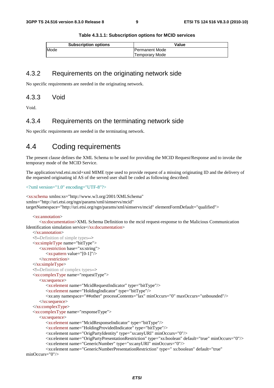|  | Table 4.3.1.1: Subscription options for MCID services |  |  |  |
|--|-------------------------------------------------------|--|--|--|
|--|-------------------------------------------------------|--|--|--|

| <b>Subscription options</b> | Value                  |
|-----------------------------|------------------------|
| Mode                        | <b>IPermanent Mode</b> |
|                             | <b>Temporary Mode</b>  |

### 4.3.2 Requirements on the originating network side

No specific requirements are needed in the originating network.

#### 4.3.3 Void

Void.

#### 4.3.4 Requirements on the terminating network side

No specific requirements are needed in the terminating network.

## 4.4 Coding requirements

The present clause defines the XML Schema to be used for providing the MCID Request/Response and to invoke the temporary mode of the MCID Service.

The application/vnd.etsi.mcid+xml MIME type used to provide request of a missing originating ID and the delivery of the requested originating id AS of the served user shall be coded as following described:

<?xml version="1.0" encoding="UTF-8"?>

<xs:schema xmlns:xs="http://www.w3.org/2001/XMLSchema" xmlns="http://uri.etsi.org/ngn/params/xml/simservs/mcid" targetNamespace="http://uri.etsi.org/ngn/params/xml/simservs/mcid" elementFormDefault="qualified">

#### <xs:annotation>

 <xs:documentation>XML Schema Definition to the mcid request-response to the Malicious Communication Identification simulation service</xs:documentation>

```
 </xs:annotation> 
    <!--Definition of simple types--> 
    <xs:simpleType name="bitType"> 
        <xs:restriction base="xs:string"> 
           <xs:pattern value="[0-1]"/> 
        </xs:restriction> 
   \langle x \rangles:simpleType\langle x \rangle <!--Definition of complex types--> 
    <xs:complexType name="requestType"> 
       <xs:sequence> 
           <xs:element name="McidRequestIndicator" type="bitType"/> 
           <xs:element name="HoldingIndicator" type="bitType"/> 
           <xs:any namespace="##other" processContents="lax" minOccurs="0" maxOccurs="unbounded"/> 
        </xs:sequence> 
    </xs:complexType> 
    <xs:complexType name="responseType"> 
        <xs:sequence> 
           <xs:element name="McidResponseIndicator" type="bitType"/> 
           <xs:element name="HoldingProvidedIndicator" type="bitType"/> 
           <xs:element name="OrigPartyIdentity" type="xs:anyURI" minOccurs="0"/> 
           <xs:element name="OrigPartyPresentationRestriction" type="xs:boolean" default="true" minOccurs="0"/> 
           <xs:element name="GenericNumber" type="xs:anyURI" minOccurs="0"/> 
           <xs:element name="GenericNumberPresentationRestriction" type=" xs:boolean" default="true" 
minOccurs="0"/>
```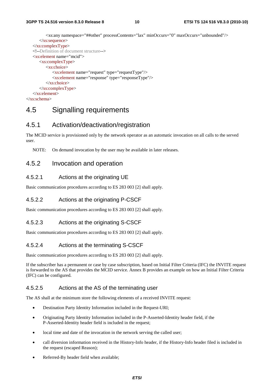```
 <xs:any namespace="##other" processContents="lax" minOccurs="0" maxOccurs="unbounded"/> 
       </xs:sequence> 
    </xs:complexType> 
    <!--Definition of document structure--> 
    <xs:element name="mcid"> 
       <xs:complexType> 
           <xs:choice> 
              <xs:element name="request" type="requestType"/> 
              <xs:element name="response" type="responseType"/> 
           </xs:choice> 
        </xs:complexType> 
    </xs:element> 
</xs:schema>
```
# 4.5 Signalling requirements

### 4.5.1 Activation/deactivation/registration

The MCID service is provisioned only by the network operator as an automatic invocation on all calls to the served user.

NOTE: On demand invocation by the user may be available in later releases.

### 4.5.2 Invocation and operation

#### 4.5.2.1 Actions at the originating UE

Basic communication procedures according to ES 283 003 [2] shall apply.

#### 4.5.2.2 Actions at the originating P-CSCF

Basic communication procedures according to ES 283 003 [2] shall apply.

#### 4.5.2.3 Actions at the originating S-CSCF

Basic communication procedures according to ES 283 003 [2] shall apply.

#### 4.5.2.4 Actions at the terminating S-CSCF

Basic communication procedures according to ES 283 003 [2] shall apply.

If the subscriber has a permanent or case by case subscription, based on Initial Filter Criteria (IFC) the INVITE request is forwarded to the AS that provides the MCID service. Annex B provides an example on how an Initial Filter Criteria (IFC) can be configured.

#### 4.5.2.5 Actions at the AS of the terminating user

The AS shall at the minimum store the following elements of a received INVITE request:

- Destination Party Identity Information included in the Request-URI;
- Originating Party Identity Information included in the P-Asserted-Identity header field, if the P-Asserted-Identity header field is included in the request;
- local time and date of the invocation in the network serving the called user;
- call diversion information received in the History-Info header, if the History-Info header filed is included in the request (escaped Reason);
- Referred-By header field when available;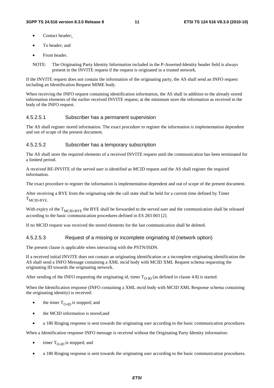- Contact header;
- To header; and
- From header.

NOTE: The Originating Party Identity Information included in the P-Asserted-Identity header field is always present in the INVITE request if the request is originated in a trusted network.

If the INVITE request does not contain the information of the originating party, the AS shall send an INFO request including an Identification Request MIME body.

When receiving the INFO request containing identification information, the AS shall in addition to the already stored information elements of the earlier received INVITE request, at the minimum store the information as received in the body of the INFO request.

#### 4.5.2.5.1 Subscriber has a permanent supervision

The AS shall register stored information. The exact procedure to register the information is implementation dependent and out of scope of the present document.

#### 4.5.2.5.2 Subscriber has a temporary subscription

The AS shall store the required elements of a received INVITE request until the communication has been terminated for a limited period.

A received RE-INVITE of the served user is identified as MCID request and the AS shall register the required information.

The exact procedure to register the information is implementation dependent and out of scope of the present document.

After receiving a BYE from the originating side the call state shall be held for a current time defined by Timer  $T_{\text{MCD-RYE}}$ 

With expiry of the  $T<sub>MCID-BYE</sub>$  the BYE shall be forwarded to the served user and the communication shall be released according to the basic communication procedures defined in ES 283 003 [2].

If no MCID request was received the stored elements for the last communication shall be deleted.

#### 4.5.2.5.3 Request of a missing or incomplete originating Id (network option)

The present clause is applicable when interacting with the PSTN/ISDN.

If a received initial INVITE does not contain an originating identification or a incomplete originating identification the AS shall send a INFO Message containing a XML mcid body with MCID XML Request schema requesting the originating ID towards the originating network.

After sending of the INFO requesting the originating id, timer  $T_{O-ID}$  (as defined in clause 4.8) is started.

When the Identification response (INFO containing a XML mcid body with MCID XML Response schema containing the originating identity) is received:

- the timer  $T_{\Omega}$  is stopped; and
- the MCID information is stored; and
- a 180 Ringing response is sent towards the originating user according to the basic communication procedures.

When a Identification response INFO message is received without the Originating Party Identity information:

- $\bullet$  timer T<sub>O-ID</sub> is stopped; and
- a 180 Ringing response is sent towards the originating user according to the basic communication procedures.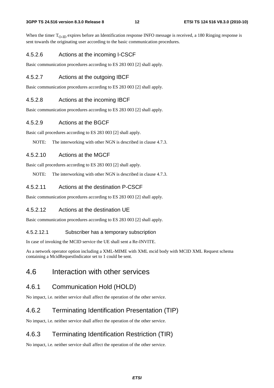When the timer  $T_{O-ID}$  expires before an Identification response INFO message is received, a 180 Ringing response is sent towards the originating user according to the basic communication procedures.

#### 4.5.2.6 Actions at the incoming I-CSCF

Basic communication procedures according to ES 283 003 [2] shall apply.

#### 4.5.2.7 Actions at the outgoing IBCF

Basic communication procedures according to ES 283 003 [2] shall apply.

#### 4.5.2.8 Actions at the incoming IBCF

Basic communication procedures according to ES 283 003 [2] shall apply.

#### 4.5.2.9 Actions at the BGCF

Basic call procedures according to ES 283 003 [2] shall apply.

NOTE: The interworking with other NGN is described in clause 4.7.3.

#### 4.5.2.10 Actions at the MGCF

Basic call procedures according to ES 283 003 [2] shall apply.

NOTE: The interworking with other NGN is described in clause 4.7.3.

#### 4.5.2.11 Actions at the destination P-CSCF

Basic communication procedures according to ES 283 003 [2] shall apply.

#### 4.5.2.12 Actions at the destination UE

Basic communication procedures according to ES 283 003 [2] shall apply.

#### 4.5.2.12.1 Subscriber has a temporary subscription

In case of invoking the MCID service the UE shall sent a Re-INVITE.

As a network operator option including a XML-MIME with XML mcid body with MCID XML Request schema containing a McidRequestIndicator set to 1 could be sent.

# 4.6 Interaction with other services

### 4.6.1 Communication Hold (HOLD)

No impact, i.e. neither service shall affect the operation of the other service.

### 4.6.2 Terminating Identification Presentation (TIP)

No impact, i.e. neither service shall affect the operation of the other service.

# 4.6.3 Terminating Identification Restriction (TIR)

No impact, i.e. neither service shall affect the operation of the other service.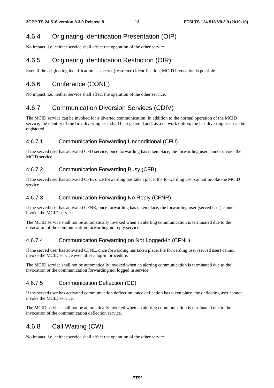## 4.6.4 Originating Identification Presentation (OIP)

No impact, i.e. neither service shall affect the operation of the other service.

# 4.6.5 Originating Identification Restriction (OIR)

Even if the originating identification is a secret (restricted) identification, MCID invocation is possible.

# 4.6.6 Conference (CONF)

No impact, i.e. neither service shall affect the operation of the other service.

# 4.6.7 Communication Diversion Services (CDIV)

The MCID service can be invoked for a diverted communication. In addition to the normal operation of the MCID service, the identity of the first diverting user shall be registered and, as a network option, the last diverting user can be registered.

#### 4.6.7.1 Communication Forwarding Unconditional (CFU)

If the served user has activated CFU service, once forwarding has taken place, the forwarding user cannot invoke the MCID service.

### 4.6.7.2 Communication Forwarding Busy (CFB)

If the served user has activated CFB, once forwarding has taken place, the forwarding user cannot invoke the MCID service.

### 4.6.7.3 Communication Forwarding No Reply (CFNR)

If the served user has activated CFNR, once forwarding has taken place, the forwarding user (served user) cannot invoke the MCID service.

The MCID service shall not be automatically invoked when an alerting communication is terminated due to the invocation of the communication forwarding no reply service.

#### 4.6.7.4 Communication Forwarding on Not Logged-In (CFNL)

If the served user has activated CFNL, once forwarding has taken place, the forwarding user (served user) cannot invoke the MCID service even after a log-in procedure.

The MCID service shall not be automatically invoked when an alerting communication is terminated due to the invocation of the communication forwarding not logged in service.

#### 4.6.7.5 Communication Deflection (CD)

If the served user has activated communication deflection, once deflection has taken place, the deflecting user cannot invoke the MCID service.

The MCID service shall not be automatically invoked when an alerting communication is terminated due to the invocation of the communication deflection service.

# 4.6.8 Call Waiting (CW)

No impact, i.e. neither service shall affect the operation of the other service.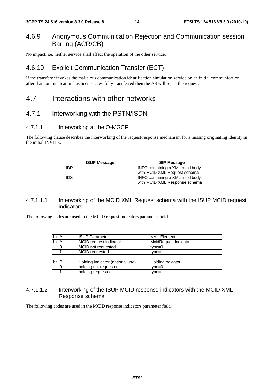### 4.6.9 Anonymous Communication Rejection and Communication session Barring (ACR/CB)

No impact, i.e. neither service shall affect the operation of the other service.

# 4.6.10 Explicit Communication Transfer (ECT)

If the transferor invokes the malicious communication identification simulation service on an initial communication after that communication has been successfully transferred then the AS will reject the request.

# 4.7 Interactions with other networks

### 4.7.1 Interworking with the PSTN/ISDN

#### 4.7.1.1 Interworking at the O-MGCF

The following clause describes the interworking of the request/response mechanism for a missing originating identity in the initial INVITE.

| <b>ISUP Message</b> | <b>SIP Message</b>                                                     |
|---------------------|------------------------------------------------------------------------|
| <b>IIDR</b>         | <b>INFO containing a XML mcid body</b><br>with MCID XML Request schema |
| <b>IIDS</b>         | INFO containing a XML mcid body<br>with MCID XML Response schema       |

#### 4.7.1.1.1 Interworking of the MCID XML Request schema with the ISUP MCID request indicators

The following codes are used in the MCID request indicators parameter field.

| bit A: | <b>ISUP Parameter</b>            | <b>XML Element</b>  |
|--------|----------------------------------|---------------------|
| bit A: | MCID request indicator           | McidRequestIndicato |
|        | MCID not requested               | $type = 0$          |
|        | MCID requested                   | $type=1$            |
|        |                                  |                     |
| bit B: | Holding indicator (national use) | HoldingIndicator    |
|        | holding not requested            | $type=0$            |
|        | holding requested                | $type=1$            |

#### 4.7.1.1.2 Interworking of the ISUP MCID response indicators with the MCID XML Response schema

The following codes are used in the MCID response indicators parameter field.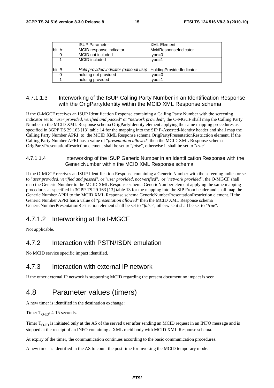|        | <b>ISUP Parameter</b>                  | <b>XML Element</b>       |
|--------|----------------------------------------|--------------------------|
| bit A: | MCID response indicator                | McidResponseIndicator    |
|        | MCID not included                      | $type=0$                 |
|        | <b>MCID</b> included                   | $type=1$                 |
|        |                                        |                          |
| bit B: | Hold provided indicator (national use) | HoldingProvidedIndicator |
|        | holding not provided                   | $type=0$                 |
|        | holding provided                       | $type=1$                 |

#### 4.7.1.1.3 Interworking of the ISUP Calling Party Number in an Identification Response with the OrigPartyIdentity within the MCID XML Response schema

If the O-MGCF receives an ISUP Identification Response containing a Calling Party Number with the screening indicator set to "*user provided, verified and passed*" or "*network provided*", the O-MGCF shall map the Calling Party Number to the MCID XML Response schema OrigPartyIdentity element applying the same mapping procedures as specified in 3GPP TS 29.163 [13] table 14 for the mapping into the SIP P-Asserted-Identity header and shall map the Calling Party Number APRI to the MCID XML Response schema OrigPartyPresentationRestriction element. If the Calling Party Number APRI has a value of "*presentation allowed*" then the MCID XML Response schema OrigPartyPresentationRestriction element shall be set to "*false*", otherwise it shall be set to "*true*".

#### 4.7.1.1.4 Interworking of the ISUP Generic Number in an Identification Response with the GenericNumber within the MCID XML Response schema

If the O-MGCF receives an ISUP Identification Response containing a Generic Number with the screening indicator set to "*user provided, verified and passed*", or "*user provided, not verified*", or "*network provided*", the O-MGCF shall map the Generic Number to the MCID XML Response schema GenericNumber element applying the same mapping procedures as specified in 3GPP TS 29.163 [13] table 13 for the mapping into the SIP From header and shall map the Generic Number APRI to the MCID XML Response schema GenericNumberPresentationRestriction element. If the Generic Number APRI has a value of "*presentation allowed*" then the MCID XML Response schema GenericNumberPresentationRestriction element shall be set to "*false*", otherwise it shall be set to "*true*".

### 4.7.1.2 Interworking at the I-MGCF

Not applicable.

### 4.7.2 Interaction with PSTN/ISDN emulation

No MCID service specific impact identified.

#### 4.7.3 Interaction with external IP network

If the other external IP network is supporting MCID regarding the present document no impact is seen.

# 4.8 Parameter values (timers)

A new timer is identified in the destination exchange:

Timer  $T_{O-ID}$ : 4-15 seconds.

Timer  $T_{O-ID}$  is initiated only at the AS of the served user after sending an MCID request in an INFO message and is stopped at the receipt of an INFO containing a XML mcid body with MCID XML Response schema.

At expiry of the timer, the communication continues according to the basic communication procedures.

A new timer is identified in the AS to count the post time for invoking the MCID temporary mode.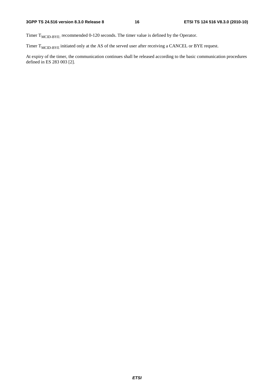Timer  $T_{\text{MCID-BYE:}}$  recommended 0-120 seconds. The timer value is defined by the Operator.

Timer  $T_{\text{MCID-BYE}}$  initiated only at the AS of the served user after receiving a CANCEL or BYE request.

At expiry of the timer, the communication continues shall be released according to the basic communication procedures defined in ES 283 003 [2].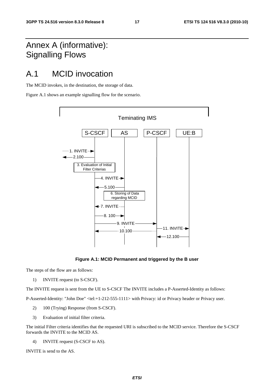# Annex A (informative): Signalling Flows

# A.1 MCID invocation

The MCID invokes, in the destination, the storage of data.

Figure A.1 shows an example signalling flow for the scenario.



**Figure A.1: MCID Permanent and triggered by the B user** 

The steps of the flow are as follows:

1) INVITE request (to S-CSCF).

The INVITE request is sent from the UE to S-CSCF The INVITE includes a P-Asserted-Identity as follows:

P-Asserted-Identity: "John Doe" <tel:+1-212-555-1111> with Privacy: id or Privacy header or Privacy user.

- 2) 100 (Trying) Response (from S-CSCF).
- 3) Evaluation of initial filter criteria.

The initial Filter criteria identifies that the requested URI is subscribed to the MCID service. Therefore the S-CSCF forwards the INVITE to the MCID AS.

4) INVITE request (S-CSCF to AS).

INVITE is send to the AS.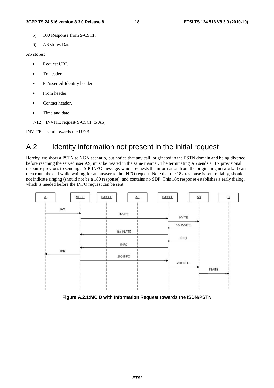- 5) 100 Response from S-CSCF.
- 6) AS stores Data.

#### AS stores:

- Request URI.
- To header.
- P-Asserted-Identity header.
- From header.
- Contact header.
- Time and date.
- 7-12) INVITE request(S-CSCF to AS).

INVITE is send towards the UE:B.

# A.2 Identity information not present in the initial request

Hereby, we show a PSTN to NGN scenario, but notice that any call, originated in the PSTN domain and being diverted before reaching the served user AS, must be treated in the same manner. The terminating AS sends a 18x provisional response previous to sending a SIP INFO message, which requests the information from the originating network. It can then route the call while waiting for an answer to the INFO request. Note that the 18x response is sent reliably, should not indicate ringing (should not be a 180 response), and contains no SDP. This 18x response establishes a early dialog, which is needed before the INFO request can be sent.



**Figure A.2.1:MCID with Information Request towards the ISDN/PSTN**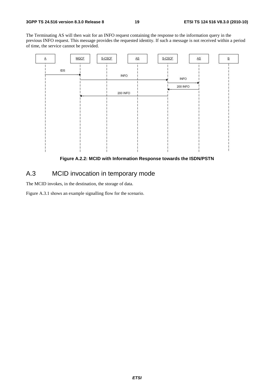The Terminating AS will then wait for an INFO request containing the response to the information query in the previous INFO request. This message provides the requested identity. If such a message is not received within a period of time, the service cannot be provided.



**Figure A.2.2: MCID with Information Response towards the ISDN/PSTN** 

### A.3 MCID invocation in temporary mode

The MCID invokes, in the destination, the storage of data.

Figure A.3.1 shows an example signalling flow for the scenario.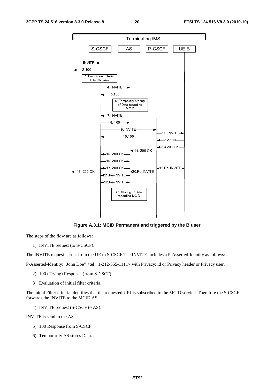

**Figure A.3.1: MCID Permanent and triggered by the B user** 

The steps of the flow are as follows:

1) INVITE request (to S-CSCF).

The INVITE request is sent from the UE to S-CSCF The INVITE includes a P-Asserted-Identity as follows:

P-Asserted-Identity: "John Doe" <tel:+1-212-555-1111> with Privacy: id or Privacy header or Privacy user.

- 2) 100 (Trying) Response (from S-CSCF).
- 3) Evaluation of initial filter criteria.

The initial Filter criteria identifies that the requested URI is subscribed to the MCID service. Therefore the S-CSCF forwards the INVITE to the MCID AS.

4) INVITE request (S-CSCF to AS).

INVITE is send to the AS.

- 5) 100 Response from S-CSCF.
- 6) Temporarily AS stores Data.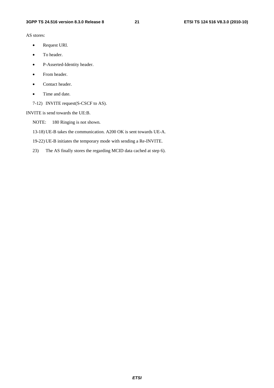AS stores:

- Request URI.
- To header.
- P-Asserted-Identity header.
- From header.
- Contact header.
- Time and date.
- 7-12) INVITE request(S-CSCF to AS).

INVITE is send towards the UE:B.

NOTE: 180 Ringing is not shown.

13-18) UE-B takes the communication. A200 OK is sent towards UE-A.

19-22) UE-B initiates the temporary mode with sending a Re-INVITE.

23) The AS finally stores the regarding MCID data cached at step 6).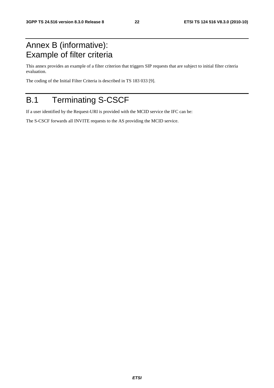# Annex B (informative): Example of filter criteria

This annex provides an example of a filter criterion that triggers SIP requests that are subject to initial filter criteria evaluation.

The coding of the Initial Filter Criteria is described in TS 183 033 [9].

# B.1 Terminating S-CSCF

If a user identified by the Request-URI is provided with the MCID service the IFC can be:

The S-CSCF forwards all INVITE requests to the AS providing the MCID service.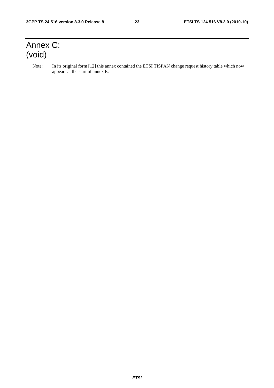# Annex C: (void)

Note: In its original form [12] this annex contained the ETSI TISPAN change request history table which now appears at the start of annex E.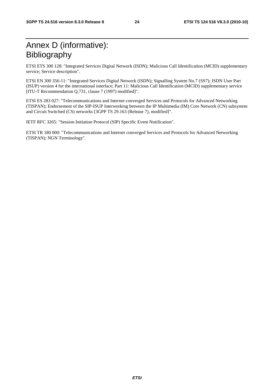# Annex D (informative): Bibliography

ETSI ETS 300 128: "Integrated Services Digital Network (ISDN); Malicious Call Identification (MCID) supplementary service; Service description".

ETSI EN 300 356-11: "Integrated Services Digital Network (ISDN); Signalling System No.7 (SS7); ISDN User Part (ISUP) version 4 for the international interface; Part 11: Malicious Call Identification (MCID) supplementary service [ITU-T Recommendation Q.731, clause 7 (1997) modified]".

ETSI ES 283 027: "Telecommunications and Internet converged Services and Protocols for Advanced Networking (TISPAN); Endorsement of the SIP-ISUP Interworking between the IP Multimedia (IM) Core Network (CN) subsystem and Circuit Switched (CS) networks [3GPP TS 29.163 (Release 7), modified]".

IETF RFC 3265: "Session Initiation Protocol (SIP) Specific Event Notification".

ETSI TR 180 000: "Telecommunications and Internet converged Services and Protocols for Advanced Networking (TISPAN); NGN Terminology".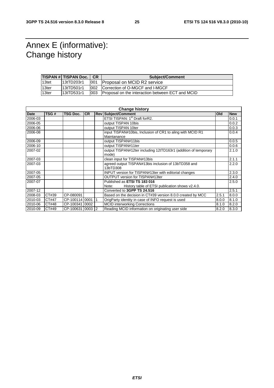# Annex E (informative): Change history

|       | <b>TISPAN # TISPAN Doc.   CR</b> |     | <b>Subject/Comment</b>                            |  |
|-------|----------------------------------|-----|---------------------------------------------------|--|
| 13tet | 13tTD203r1                       | 001 | Proposal on MCID R2 service                       |  |
| 13ter | 13tTD501r1                       | 002 | Correction of O-MGCF and I-MGCF                   |  |
| 13ter | l13tTD531r1                      | 003 | IProposal on the interaction between ECT and MCID |  |

| <b>Change history</b> |       |                  |           |  |                                                                           |       |            |
|-----------------------|-------|------------------|-----------|--|---------------------------------------------------------------------------|-------|------------|
| <b>Date</b>           | TSG#  | <b>TSG Doc.</b>  | <b>CR</b> |  | <b>Rev Subject/Comment</b>                                                | Old   | <b>New</b> |
| 2006-03               |       |                  |           |  | ETSI TISPAN: 1 <sup>st</sup> Draft forR2.                                 |       | 0.0.1      |
| 2006-05               |       |                  |           |  | output TISPAN 10bis                                                       |       | 0.0.2      |
| 2006-06               |       |                  |           |  | output TISPAN 10ter                                                       |       | 0.0.3      |
| 2006-08               |       |                  |           |  | input TISPAN#10bis, Inclusion of CR1 to aling with MCID R1<br>Maintanance |       | 0.0.4      |
| 2006-09               |       |                  |           |  | output TISPAN#11bis                                                       |       | 0.0.5      |
| 2006-10               |       |                  |           |  | output TISPAN#11ter                                                       |       | 0.0.6      |
| 2007-02               |       |                  |           |  | output TISPAN#12ter including 12tTD163r1 (addition of temporary<br>mode)  |       | 2.1.0      |
| 2007-03               |       |                  |           |  | clean input for TISPAN#13bis                                              |       | 2.1.1      |
| 2007-03               |       |                  |           |  | agreed output TISPAN#13bis inclusion of 13bTD358 and<br>13bTD308          |       | 2.2.0      |
| 2007-05               |       |                  |           |  | INPUT version for TISPAN#13ter with editorial changes                     |       | 2.3.0      |
| 2007-05               |       |                  |           |  | OUTPUT version for TISPAN#13ter                                           |       | 2.4.0      |
| 2007-07               |       |                  |           |  | Published as <b>ETSI TS 183 016</b>                                       |       | 2.5.0      |
|                       |       |                  |           |  | History table of ETSI publication shows v2.4.0.<br>Note:                  |       |            |
| 2007-12               |       |                  |           |  | Converted to 3GPP TS 24.516                                               |       | 2.5.1      |
| 2008-03               | CT#39 | CP-080091        |           |  | Based on the decision in CT#39 version 8.0.0 created by MCC               | 2.5.1 | 8.0.0      |
| 2010-03               | CT#47 | CP-100114 0001   |           |  | OrigParty identity in case of INFO request is used                        | 8.0.0 | 8.1.0      |
| 2010-06               | CT#48 | CP-10034110002   |           |  | <b>MCID interworking Corrections</b>                                      | 8.1.0 | 8.2.0      |
| 2010-09               | CT#49 | CP-100631 0003 2 |           |  | Reading MCID information on originating user side                         | 8.2.0 | 8.3.0      |